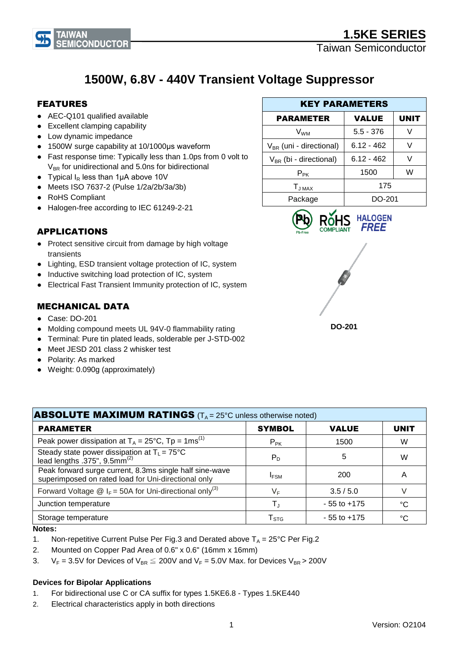

# **1500W, 6.8V - 440V Transient Voltage Suppressor**

### FEATURES

- AEC-Q101 qualified available
- Excellent clamping capability
- Low dynamic impedance
- 1500W surge capability at 10/1000μs waveform
- Fast response time: Typically less than 1.0ps from 0 volt to  $V_{BR}$  for unidirectional and 5.0ns for bidirectional
- Typical  $I_R$  less than 1µA above 10V
- Meets ISO 7637-2 (Pulse 1/2a/2b/3a/3b)
- RoHS Compliant
- Halogen-free according to IEC 61249-2-21

## APPLICATIONS

- Protect sensitive circuit from damage by high voltage transients
- Lighting, ESD transient voltage protection of IC, system
- Inductive switching load protection of IC, system
- Electrical Fast Transient Immunity protection of IC, system

### MECHANICAL DATA

- Case: DO-201
- Molding compound meets UL 94V-0 flammability rating
- Terminal: Pure tin plated leads, solderable per J-STD-002
- Meet JESD 201 class 2 whisker test
- Polarity: As marked
- Weight: 0.090g (approximately)

## KEY PARAMETERS PARAMETER | VALUE | UNIT  $V_{WM}$  | 5.5 - 376 | V  $V_{BR}$  (uni - directional) | 6.12 - 462 | V  $V_{BR}$  (bi - directional)  $\begin{array}{|c|c|c|c|c|} \hline \end{array}$  6.12 - 462  $\begin{array}{|c|c|c|c|c|c|} \hline \end{array}$  V  $P_{PK}$  1500 | W  $T_{J \text{MAX}}$  175 Package | DO-201





| <b>ABSOLUTE MAXIMUM RATINGS</b> ( $T_A = 25^\circ$ C unless otherwise noted)                                   |                        |                 |             |  |  |
|----------------------------------------------------------------------------------------------------------------|------------------------|-----------------|-------------|--|--|
| <b>PARAMETER</b>                                                                                               | <b>SYMBOL</b>          | <b>VALUE</b>    | <b>UNIT</b> |  |  |
| Peak power dissipation at $T_A = 25^{\circ}C$ , Tp = 1ms <sup>(1)</sup>                                        | $P_{PK}$               | 1500            | W           |  |  |
| Steady state power dissipation at $T_L = 75^{\circ}C$<br>lead lengths .375", $9.5$ mm <sup>(2)</sup>           | $P_D$                  | 5               | W           |  |  |
| Peak forward surge current, 8.3ms single half sine-wave<br>superimposed on rated load for Uni-directional only | <b>IFSM</b>            | 200             | Α           |  |  |
| Forward Voltage $\circledR$ I <sub>F</sub> = 50A for Uni-directional only <sup>(3)</sup>                       | $V_F$                  | 3.5/5.0         |             |  |  |
| Junction temperature                                                                                           |                        | $-55$ to $+175$ | °C          |  |  |
| Storage temperature                                                                                            | ${\sf T}_{\text{STG}}$ | $-55$ to $+175$ | °C          |  |  |

#### **Notes:**

- 1. Non-repetitive Current Pulse Per Fig.3 and Derated above  $T_A = 25^{\circ}$ C Per Fig.2
- 2. Mounted on Copper Pad Area of 0.6" x 0.6" (16mm x 16mm)
- 3.  $V_F = 3.5V$  for Devices of  $V_{BR} \leq 200V$  and  $V_F = 5.0V$  Max. for Devices  $V_{BR} > 200V$

#### **Devices for Bipolar Applications**

- 1. For bidirectional use C or CA suffix for types 1.5KE6.8 Types 1.5KE440
- 2. Electrical characteristics apply in both directions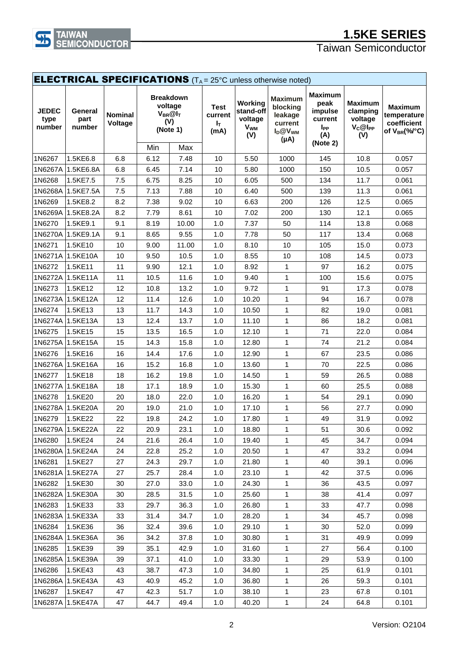

# **1.5KE SERIES**

Taiwan Semiconductor

| <b>ELECTRICAL SPECIFICATIONS</b> (T <sub>A</sub> = 25°C unless otherwise noted) |                           |                           |      |                                                                       |                                                  |                                                                 |                                                                          |                                                                                    |                                                              |                                                                    |
|---------------------------------------------------------------------------------|---------------------------|---------------------------|------|-----------------------------------------------------------------------|--------------------------------------------------|-----------------------------------------------------------------|--------------------------------------------------------------------------|------------------------------------------------------------------------------------|--------------------------------------------------------------|--------------------------------------------------------------------|
| <b>JEDEC</b><br>type<br>number                                                  | General<br>part<br>number | <b>Nominal</b><br>Voltage | Min  | <b>Breakdown</b><br>voltage<br>$V_{BR}@I_T$<br>(V)<br>(Note 1)<br>Max | <b>Test</b><br>current<br>I <sub>T</sub><br>(mA) | Working<br>stand-off<br>voltage<br><b>V<sub>WM</sub></b><br>(V) | <b>Maximum</b><br>blocking<br>leakage<br>current<br>$I_D@V_{WM}$<br>(µA) | <b>Maximum</b><br>peak<br>impulse<br>current<br>I <sub>PP</sub><br>(A)<br>(Note 2) | <b>Maximum</b><br>clamping<br>voltage<br>$V_C@I_{PP}$<br>(V) | <b>Maximum</b><br>temperature<br>coefficient<br>of $V_{BR}$ (%/°C) |
| 1N6267                                                                          | 1.5KE6.8                  | 6.8                       | 6.12 | 7.48                                                                  | 10                                               | 5.50                                                            | 1000                                                                     | 145                                                                                | 10.8                                                         | 0.057                                                              |
|                                                                                 | 1N6267A 1.5KE6.8A         | 6.8                       | 6.45 | 7.14                                                                  | 10                                               | 5.80                                                            | 1000                                                                     | 150                                                                                | 10.5                                                         | 0.057                                                              |
| 1N6268                                                                          | 1.5KE7.5                  | 7.5                       | 6.75 | 8.25                                                                  | 10                                               | 6.05                                                            | 500                                                                      | 134                                                                                | 11.7                                                         | 0.061                                                              |
| 1N6268A                                                                         | 1.5KE7.5A                 | 7.5                       | 7.13 | 7.88                                                                  | 10                                               | 6.40                                                            | 500                                                                      | 139                                                                                | 11.3                                                         | 0.061                                                              |
| 1N6269                                                                          | 1.5KE8.2                  | 8.2                       | 7.38 | 9.02                                                                  | 10                                               | 6.63                                                            | 200                                                                      | 126                                                                                | 12.5                                                         | 0.065                                                              |
| 1N6269A                                                                         | 1.5KE8.2A                 | 8.2                       | 7.79 | 8.61                                                                  | 10                                               | 7.02                                                            | 200                                                                      | 130                                                                                | 12.1                                                         | 0.065                                                              |
| 1N6270                                                                          | 1.5KE9.1                  | 9.1                       | 8.19 | 10.00                                                                 | 1.0                                              | 7.37                                                            | 50                                                                       | 114                                                                                | 13.8                                                         | 0.068                                                              |
|                                                                                 | 1N6270A 1.5KE9.1A         | 9.1                       | 8.65 | 9.55                                                                  | 1.0                                              | 7.78                                                            | 50                                                                       | 117                                                                                | 13.4                                                         | 0.068                                                              |
| 1N6271                                                                          | 1.5KE10                   | 10                        | 9.00 | 11.00                                                                 | 1.0                                              | 8.10                                                            | 10                                                                       | 105                                                                                | 15.0                                                         | 0.073                                                              |
|                                                                                 | 1N6271A 1.5KE10A          | 10                        | 9.50 | 10.5                                                                  | 1.0                                              | 8.55                                                            | 10                                                                       | 108                                                                                | 14.5                                                         | 0.073                                                              |
| 1N6272                                                                          | 1.5KE11                   | 11                        | 9.90 | 12.1                                                                  | 1.0                                              | 8.92                                                            | 1                                                                        | 97                                                                                 | 16.2                                                         | 0.075                                                              |
|                                                                                 | 1N6272A 1.5KE11A          | 11                        | 10.5 | 11.6                                                                  | 1.0                                              | 9.40                                                            | 1                                                                        | 100                                                                                | 15.6                                                         | 0.075                                                              |
| 1N6273                                                                          | 1.5KE12                   | 12                        | 10.8 | 13.2                                                                  | 1.0                                              | 9.72                                                            | $\mathbf{1}$                                                             | 91                                                                                 | 17.3                                                         | 0.078                                                              |
|                                                                                 | 1N6273A 1.5KE12A          | 12                        | 11.4 | 12.6                                                                  | 1.0                                              | 10.20                                                           | $\mathbf{1}$                                                             | 94                                                                                 | 16.7                                                         | 0.078                                                              |
| 1N6274                                                                          | 1.5KE13                   | 13                        | 11.7 | 14.3                                                                  | 1.0                                              | 10.50                                                           | 1                                                                        | 82                                                                                 | 19.0                                                         | 0.081                                                              |
|                                                                                 | 1N6274A 1.5KE13A          | 13                        | 12.4 | 13.7                                                                  | 1.0                                              | 11.10                                                           | $\mathbf{1}$                                                             | 86                                                                                 | 18.2                                                         | 0.081                                                              |
| 1N6275                                                                          | 1.5KE15                   | 15                        | 13.5 | 16.5                                                                  | 1.0                                              | 12.10                                                           | 1                                                                        | 71                                                                                 | 22.0                                                         | 0.084                                                              |
|                                                                                 | 1N6275A 1.5KE15A          | 15                        | 14.3 | 15.8                                                                  | 1.0                                              | 12.80                                                           | $\mathbf{1}$                                                             | 74                                                                                 | 21.2                                                         | 0.084                                                              |
| 1N6276                                                                          | 1.5KE16                   | 16                        | 14.4 | 17.6                                                                  | 1.0                                              | 12.90                                                           | $\mathbf{1}$                                                             | 67                                                                                 | 23.5                                                         | 0.086                                                              |
|                                                                                 | 1N6276A 1.5KE16A          | 16                        | 15.2 | 16.8                                                                  | 1.0                                              | 13.60                                                           | 1                                                                        | 70                                                                                 | 22.5                                                         | 0.086                                                              |
| 1N6277                                                                          | 1.5KE18                   | 18                        | 16.2 | 19.8                                                                  | 1.0                                              | 14.50                                                           | $\mathbf{1}$                                                             | 59                                                                                 | 26.5                                                         | 0.088                                                              |
| 1N6277A                                                                         | 1.5KE18A                  | 18                        | 17.1 | 18.9                                                                  | 1.0                                              | 15.30                                                           | 1                                                                        | 60                                                                                 | 25.5                                                         | 0.088                                                              |
| 1N6278                                                                          | 1.5KE20                   | 20                        | 18.0 | 22.0                                                                  | 1.0                                              | 16.20                                                           | 1                                                                        | 54                                                                                 | 29.1                                                         | 0.090                                                              |
|                                                                                 | 1N6278A 1.5KE20A          | 20                        | 19.0 | 21.0                                                                  | 1.0                                              | 17.10                                                           | $\mathbf{1}$                                                             | 56                                                                                 | 27.7                                                         | 0.090                                                              |
| 1N6279                                                                          | 1.5KE22                   | 22                        | 19.8 | 24.2                                                                  | 1.0                                              | 17.80                                                           | 1                                                                        | 49                                                                                 | 31.9                                                         | 0.092                                                              |
|                                                                                 | 1N6279A 1.5KE22A          | 22                        | 20.9 | 23.1                                                                  | 1.0                                              | 18.80                                                           | 1                                                                        | 51                                                                                 | 30.6                                                         | 0.092                                                              |
| 1N6280                                                                          | 1.5KE24                   | 24                        | 21.6 | 26.4                                                                  | 1.0                                              | 19.40                                                           | 1                                                                        | 45                                                                                 | 34.7                                                         | 0.094                                                              |
|                                                                                 | 1N6280A 1.5KE24A          | 24                        | 22.8 | 25.2                                                                  | 1.0                                              | 20.50                                                           | 1                                                                        | 47                                                                                 | 33.2                                                         | 0.094                                                              |
| 1N6281                                                                          | 1.5KE27                   | 27                        | 24.3 | 29.7                                                                  | 1.0                                              | 21.80                                                           | $\mathbf{1}$                                                             | 40                                                                                 | 39.1                                                         | 0.096                                                              |
|                                                                                 | 1N6281A 1.5KE27A          | 27                        | 25.7 | 28.4                                                                  | 1.0                                              | 23.10                                                           | 1                                                                        | 42                                                                                 | 37.5                                                         | 0.096                                                              |
| 1N6282                                                                          | 1.5KE30                   | 30                        | 27.0 | 33.0                                                                  | 1.0                                              | 24.30                                                           | 1                                                                        | 36                                                                                 | 43.5                                                         | 0.097                                                              |
|                                                                                 | 1N6282A 1.5KE30A          | 30                        | 28.5 | 31.5                                                                  | 1.0                                              | 25.60                                                           | 1                                                                        | 38                                                                                 | 41.4                                                         | 0.097                                                              |
| 1N6283                                                                          | 1.5KE33                   | 33                        | 29.7 | 36.3                                                                  | 1.0                                              | 26.80                                                           | 1                                                                        | 33                                                                                 | 47.7                                                         | 0.098                                                              |
|                                                                                 | 1N6283A 1.5KE33A          | 33                        | 31.4 | 34.7                                                                  | 1.0                                              | 28.20                                                           | 1                                                                        | 34                                                                                 | 45.7                                                         | 0.098                                                              |
| 1N6284                                                                          | 1.5KE36                   | 36                        | 32.4 | 39.6                                                                  | 1.0                                              | 29.10                                                           | $\mathbf{1}$                                                             | 30                                                                                 | 52.0                                                         | 0.099                                                              |
|                                                                                 | 1N6284A 1.5KE36A          | 36                        | 34.2 | 37.8                                                                  | 1.0                                              | 30.80                                                           | 1                                                                        | 31                                                                                 | 49.9                                                         | 0.099                                                              |
| 1N6285                                                                          | 1.5KE39                   | 39                        | 35.1 | 42.9                                                                  | 1.0                                              | 31.60                                                           | 1                                                                        | 27                                                                                 | 56.4                                                         | 0.100                                                              |
|                                                                                 | 1N6285A 1.5KE39A          | 39                        | 37.1 | 41.0                                                                  | 1.0                                              | 33.30                                                           | 1                                                                        | 29                                                                                 | 53.9                                                         | 0.100                                                              |
| 1N6286                                                                          | 1.5KE43                   | 43                        | 38.7 | 47.3                                                                  | 1.0                                              | 34.80                                                           | $\mathbf{1}$                                                             | 25                                                                                 | 61.9                                                         | 0.101                                                              |
|                                                                                 | 1N6286A 1.5KE43A          | 43                        | 40.9 | 45.2                                                                  | 1.0                                              | 36.80                                                           | 1                                                                        | 26                                                                                 | 59.3                                                         | 0.101                                                              |
| 1N6287                                                                          | 1.5KE47                   | 47                        | 42.3 | 51.7                                                                  | 1.0                                              | 38.10                                                           | 1                                                                        | 23                                                                                 | 67.8                                                         | 0.101                                                              |
|                                                                                 | 1N6287A 1.5KE47A          | 47                        | 44.7 | 49.4                                                                  | 1.0                                              | 40.20                                                           | $\mathbf{1}$                                                             | 24                                                                                 | 64.8                                                         | 0.101                                                              |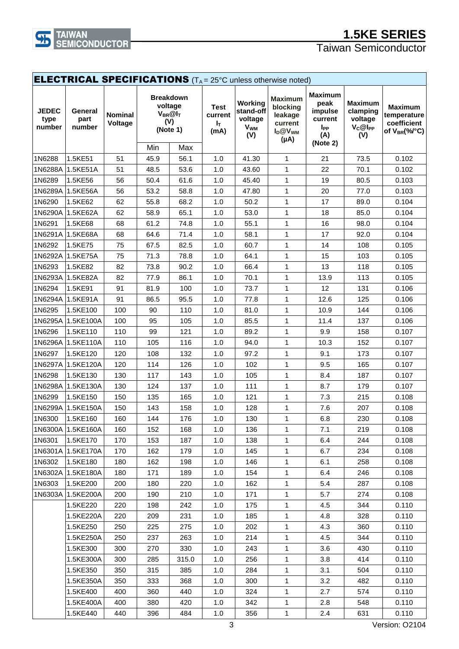

# **1.5KE SERIES**

Taiwan Semiconductor

| <b>ELECTRICAL SPECIFICATIONS</b> (T <sub>A</sub> = 25°C unless otherwise noted) |                           |                           |                                |                                            |                                       |                                                                 |                                                                               |                                                                                           |                                                              |                                                                    |
|---------------------------------------------------------------------------------|---------------------------|---------------------------|--------------------------------|--------------------------------------------|---------------------------------------|-----------------------------------------------------------------|-------------------------------------------------------------------------------|-------------------------------------------------------------------------------------------|--------------------------------------------------------------|--------------------------------------------------------------------|
| <b>JEDEC</b><br>type<br>number                                                  | General<br>part<br>number | <b>Nominal</b><br>Voltage | <b>Breakdown</b><br>(V)<br>Min | voltage<br>$V_{BR}@I_T$<br>(Note 1)<br>Max | <b>Test</b><br>current<br>IT.<br>(mA) | Working<br>stand-off<br>voltage<br><b>V<sub>WM</sub></b><br>(V) | <b>Maximum</b><br>blocking<br>leakage<br>current<br>$I_D@V_{WM}$<br>$(\mu A)$ | <b>Maximum</b><br>peak<br>impulse<br>current<br><b>I</b> <sub>PP</sub><br>(A)<br>(Note 2) | <b>Maximum</b><br>clamping<br>voltage<br>$V_C@I_{PP}$<br>(V) | <b>Maximum</b><br>temperature<br>coefficient<br>of $V_{BR}$ (%/°C) |
| 1N6288                                                                          | 1.5KE51                   | 51                        | 45.9                           | 56.1                                       | 1.0                                   | 41.30                                                           | $\mathbf{1}$                                                                  | 21                                                                                        | 73.5                                                         | 0.102                                                              |
| 1N6288A                                                                         | 1.5KE51A                  | 51                        | 48.5                           | 53.6                                       | 1.0                                   | 43.60                                                           | $\mathbf{1}$                                                                  | 22                                                                                        | 70.1                                                         | 0.102                                                              |
| 1N6289                                                                          | 1.5KE56                   | 56                        | 50.4                           | 61.6                                       | 1.0                                   | 45.40                                                           | $\mathbf{1}$                                                                  | 19                                                                                        | 80.5                                                         | 0.103                                                              |
|                                                                                 | 1N6289A 1.5KE56A          | 56                        | 53.2                           | 58.8                                       | 1.0                                   | 47.80                                                           | $\mathbf{1}$                                                                  | 20                                                                                        | 77.0                                                         | 0.103                                                              |
| 1N6290                                                                          | 1.5KE62                   | 62                        | 55.8                           | 68.2                                       | 1.0                                   | 50.2                                                            | $\mathbf{1}$                                                                  | 17                                                                                        | 89.0                                                         | 0.104                                                              |
|                                                                                 | 1N6290A 1.5KE62A          | 62                        | 58.9                           | 65.1                                       | 1.0                                   | 53.0                                                            | 1                                                                             | 18                                                                                        | 85.0                                                         | 0.104                                                              |
| 1N6291                                                                          | 1.5KE68                   | 68                        | 61.2                           | 74.8                                       | 1.0                                   | 55.1                                                            | $\mathbf{1}$                                                                  | 16                                                                                        | 98.0                                                         | 0.104                                                              |
|                                                                                 | 1N6291A 1.5KE68A          | 68                        | 64.6                           | 71.4                                       | 1.0                                   | 58.1                                                            | 1                                                                             | 17                                                                                        | 92.0                                                         | 0.104                                                              |
| 1N6292                                                                          | 1.5KE75                   | 75                        | 67.5                           | 82.5                                       | 1.0                                   | 60.7                                                            | $\mathbf{1}$                                                                  | 14                                                                                        | 108                                                          | 0.105                                                              |
| 1N6292A                                                                         | 1.5KE75A                  | 75                        | 71.3                           | 78.8                                       | 1.0                                   | 64.1                                                            | 1                                                                             | 15                                                                                        | 103                                                          | 0.105                                                              |
| 1N6293                                                                          | 1.5KE82                   | 82                        | 73.8                           | 90.2                                       | 1.0                                   | 66.4                                                            | 1                                                                             | 13                                                                                        | 118                                                          | 0.105                                                              |
|                                                                                 | 1N6293A 1.5KE82A          | 82                        | 77.9                           | 86.1                                       | 1.0                                   | 70.1                                                            | 1                                                                             | 13.9                                                                                      | 113                                                          | 0.105                                                              |
| 1N6294                                                                          | 1.5KE91                   | 91                        | 81.9                           | 100                                        | 1.0                                   | 73.7                                                            | $\mathbf{1}$                                                                  | 12                                                                                        | 131                                                          | 0.106                                                              |
|                                                                                 | 1N6294A 1.5KE91A          | 91                        | 86.5                           | 95.5                                       | 1.0                                   | 77.8                                                            | 1                                                                             | 12.6                                                                                      | 125                                                          | 0.106                                                              |
| 1N6295                                                                          | 1.5KE100                  | 100                       | 90                             | 110                                        | 1.0                                   | 81.0                                                            | $\mathbf{1}$                                                                  | 10.9                                                                                      | 144                                                          | 0.106                                                              |
| 1N6295A                                                                         | 1.5KE100A                 | 100                       | 95                             | 105                                        | 1.0                                   | 85.5                                                            | 1                                                                             | 11.4                                                                                      | 137                                                          | 0.106                                                              |
| 1N6296                                                                          | 1.5KE110                  | 110                       | 99                             | 121                                        | 1.0                                   | 89.2                                                            | 1                                                                             | 9.9                                                                                       | 158                                                          | 0.107                                                              |
|                                                                                 | 1N6296A 1.5KE110A         | 110                       | 105                            | 116                                        | 1.0                                   | 94.0                                                            | 1                                                                             | 10.3                                                                                      | 152                                                          | 0.107                                                              |
| 1N6297                                                                          | 1.5KE120                  | 120                       | 108                            | 132                                        | 1.0                                   | 97.2                                                            | 1                                                                             | 9.1                                                                                       | 173                                                          | 0.107                                                              |
|                                                                                 | 1N6297A 1.5KE120A         | 120                       | 114                            | 126                                        | 1.0                                   | 102                                                             | $\mathbf{1}$                                                                  | 9.5                                                                                       | 165                                                          | 0.107                                                              |
| 1N6298                                                                          | 1.5KE130                  | 130                       | 117                            | 143                                        | 1.0                                   | 105                                                             | 1                                                                             | 8.4                                                                                       | 187                                                          | 0.107                                                              |
| 1N6298A                                                                         | 1.5KE130A                 | 130                       | 124                            | 137                                        | 1.0                                   | 111                                                             | $\mathbf{1}$                                                                  | 8.7                                                                                       | 179                                                          | 0.107                                                              |
| 1N6299                                                                          | 1.5KE150                  | 150                       | 135                            | 165                                        | 1.0                                   | 121                                                             | $\mathbf{1}$                                                                  | 7.3                                                                                       | 215                                                          | 0.108                                                              |
|                                                                                 | 1N6299A 1.5KE150A         | 150                       | 143                            | 158                                        | 1.0                                   | 128                                                             | 1                                                                             | 7.6                                                                                       | 207                                                          | 0.108                                                              |
| 1N6300                                                                          | 1.5KE160                  | 160                       | 144                            | 176                                        | 1.0                                   | 130                                                             | $\mathbf{1}$                                                                  | 6.8                                                                                       | 230                                                          | 0.108                                                              |
|                                                                                 | 1N6300A 1.5KE160A         | 160                       | 152                            | 168                                        | 1.0                                   | 136                                                             | 1                                                                             | 7.1                                                                                       | 219                                                          | 0.108                                                              |
| 1N6301                                                                          | 1.5KE170                  | 170                       | 153                            | 187                                        | 1.0                                   | 138                                                             | 1                                                                             | 6.4                                                                                       | 244                                                          | 0.108                                                              |
|                                                                                 | 1N6301A 1.5KE170A         | 170                       | 162                            | 179                                        | 1.0                                   | 145                                                             | $\mathbf{1}$                                                                  | 6.7                                                                                       | 234                                                          | 0.108                                                              |
| 1N6302                                                                          | 1.5KE180                  | 180                       | 162                            | 198                                        | 1.0                                   | 146                                                             | 1                                                                             | 6.1                                                                                       | 258                                                          | 0.108                                                              |
|                                                                                 | 1N6302A 1.5KE180A         | 180                       | 171                            | 189                                        | 1.0                                   | 154                                                             | $\mathbf{1}$                                                                  | 6.4                                                                                       | 246                                                          | 0.108                                                              |
| 1N6303                                                                          | 1.5KE200                  | 200                       | 180                            | 220                                        | 1.0                                   | 162                                                             | 1                                                                             | 5.4                                                                                       | 287                                                          | 0.108                                                              |
|                                                                                 | 1N6303A 1.5KE200A         | 200                       | 190                            | 210                                        | 1.0                                   | 171                                                             | 1                                                                             | 5.7                                                                                       | 274                                                          | 0.108                                                              |
|                                                                                 | 1.5KE220                  | 220                       | 198                            | 242                                        | 1.0                                   | 175                                                             | $\mathbf{1}$                                                                  | 4.5                                                                                       | 344                                                          | 0.110                                                              |
|                                                                                 | 1.5KE220A                 | 220                       | 209                            | 231                                        | 1.0                                   | 185                                                             | $\mathbf{1}$                                                                  | 4.8                                                                                       | 328                                                          | 0.110                                                              |
|                                                                                 | 1.5KE250                  | 250                       | 225                            | 275                                        | 1.0                                   | 202                                                             | 1                                                                             | 4.3                                                                                       | 360                                                          | 0.110                                                              |
|                                                                                 | 1.5KE250A                 | 250                       | 237                            | 263                                        | 1.0                                   | 214                                                             | 1                                                                             | 4.5                                                                                       | 344                                                          | 0.110                                                              |
|                                                                                 | 1.5KE300                  | 300                       | 270                            | 330                                        | 1.0                                   | 243                                                             | 1                                                                             | 3.6                                                                                       | 430                                                          | 0.110                                                              |
|                                                                                 | 1.5KE300A                 | 300                       | 285                            | 315.0                                      | 1.0                                   | 256                                                             | 1                                                                             | 3.8                                                                                       | 414                                                          | 0.110                                                              |
|                                                                                 | 1.5KE350                  | 350                       | 315                            | 385                                        | 1.0                                   | 284                                                             | $\mathbf{1}$                                                                  | 3.1                                                                                       | 504                                                          | 0.110                                                              |
|                                                                                 | 1.5KE350A                 | 350                       | 333                            | 368                                        | 1.0                                   | 300                                                             | 1                                                                             | 3.2                                                                                       | 482                                                          | 0.110                                                              |
|                                                                                 | 1.5KE400                  | 400                       | 360                            | 440                                        | 1.0                                   | 324                                                             | 1                                                                             | 2.7                                                                                       | 574                                                          | 0.110                                                              |
|                                                                                 | 1.5KE400A                 | 400                       | 380                            | 420                                        | 1.0                                   | 342                                                             | $\mathbf{1}$                                                                  | 2.8                                                                                       | 548                                                          | 0.110                                                              |
|                                                                                 | 1.5KE440                  | 440                       | 396                            | 484                                        | 1.0                                   | 356                                                             | $\mathbf{1}$                                                                  | 2.4                                                                                       | 631                                                          | 0.110                                                              |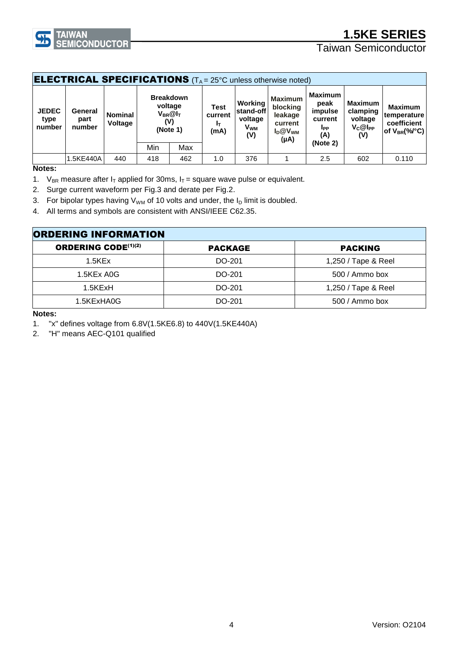

# **1.5KE SERIES**

## Taiwan Semiconductor

| <b>ELECTRICAL SPECIFICATIONS</b> ( $T_A = 25^\circ$ C unless otherwise noted) |                                                                                                                                 |     |     |                                      |                                                                    |                                                                               |                                                                    |                                                              |                                                                    |       |
|-------------------------------------------------------------------------------|---------------------------------------------------------------------------------------------------------------------------------|-----|-----|--------------------------------------|--------------------------------------------------------------------|-------------------------------------------------------------------------------|--------------------------------------------------------------------|--------------------------------------------------------------|--------------------------------------------------------------------|-------|
| <b>JEDEC</b><br>type<br>number                                                | <b>Breakdown</b><br>voltage<br>General<br>$V_{BR}@I_T$<br><b>Nominal</b><br>part<br>(V)<br><b>Voltage</b><br>number<br>(Note 1) |     |     | <b>Test</b><br>current<br>Iτ<br>(mA) | Working<br>lstand-off l<br>voltage<br><b>V<sub>WM</sub></b><br>(V) | <b>Maximum</b><br>blocking<br>leakage<br>current<br>$I_D@V_{WM}$<br>$(\mu A)$ | <b>Maximum</b><br>peak<br>impulse<br>current<br><b>I</b> PP<br>(A) | <b>Maximum</b><br>clamping<br>voltage<br>$V_C@I_{PP}$<br>(V) | <b>Maximum</b><br>temperature<br>coefficient<br>of $V_{BR}$ (%/°C) |       |
|                                                                               |                                                                                                                                 |     | Min | Max                                  |                                                                    |                                                                               |                                                                    | (Note 2)                                                     |                                                                    |       |
|                                                                               | 1.5KE440A                                                                                                                       | 440 | 418 | 462                                  | 1.0                                                                | 376                                                                           |                                                                    | 2.5                                                          | 602                                                                | 0.110 |

**Notes:**

1. V<sub>BR</sub> measure after I<sub>T</sub> applied for 30ms, I<sub>T</sub> = square wave pulse or equivalent.

2. Surge current waveform per Fig.3 and derate per Fig.2.

3. For bipolar types having  $V_{WM}$  of 10 volts and under, the  $I_D$  limit is doubled.

4. All terms and symbols are consistent with ANSI/IEEE C62.35.

| <b>ORDERING INFORMATION</b> |                |                     |  |  |  |
|-----------------------------|----------------|---------------------|--|--|--|
| <b>ORDERING CODE(1)(2)</b>  | <b>PACKAGE</b> | <b>PACKING</b>      |  |  |  |
| $1.5$ KEx                   | DO-201         | 1,250 / Tape & Reel |  |  |  |
| 1.5KEx A0G                  | DO-201         | 500 / Ammo box      |  |  |  |
| 1.5KExH                     | DO-201         | 1,250 / Tape & Reel |  |  |  |
| 1.5KExHA0G                  | DO-201         | 500 / Ammo box      |  |  |  |

**Notes:**

1. "x" defines voltage from 6.8V(1.5KE6.8) to 440V(1.5KE440A)

2. "H" means AEC-Q101 qualified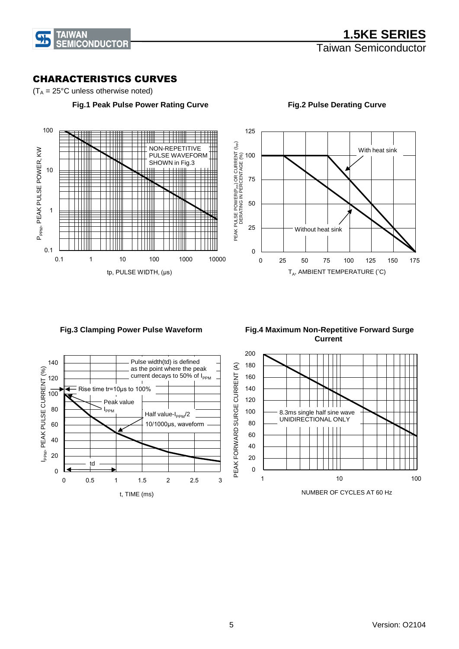

0.1

1

P<sub>PPM</sub>, PEAK PULSE POWER, KW

P<sub>PPM</sub>, PEAK PULSE POWER, KW

10

100

### CHARACTERISTICS CURVES

JШ  $\blacksquare$ 

 $\| \cdot \|$ 

 $(T_A = 25^{\circ}C$  unless otherwise noted)

 $\perp\perp\perp\perp$ 

 **Fig.1 Peak Pulse Power Rating Curve**

NON-REPETITIVE PULSE WAVEFORM SHOWN in Fig.3



#### **Fig.2 Pulse Derating Curve**

**Fig.3 Clamping Power Pulse Waveform** 

tp, PULSE WIDTH, (μs)



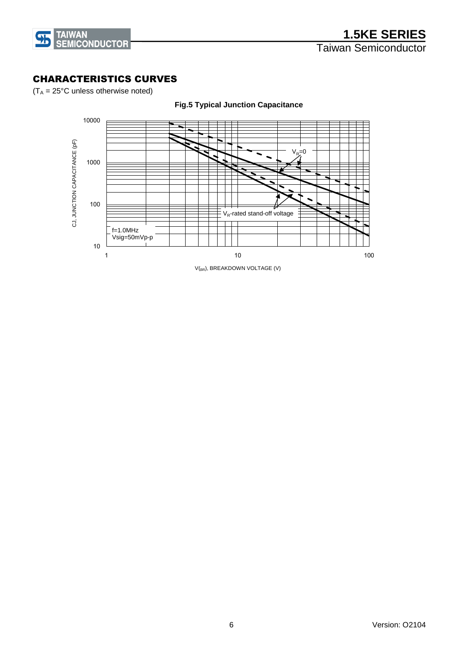

### CHARACTERISTICS CURVES

 $(T_A = 25^{\circ}C$  unless otherwise noted)

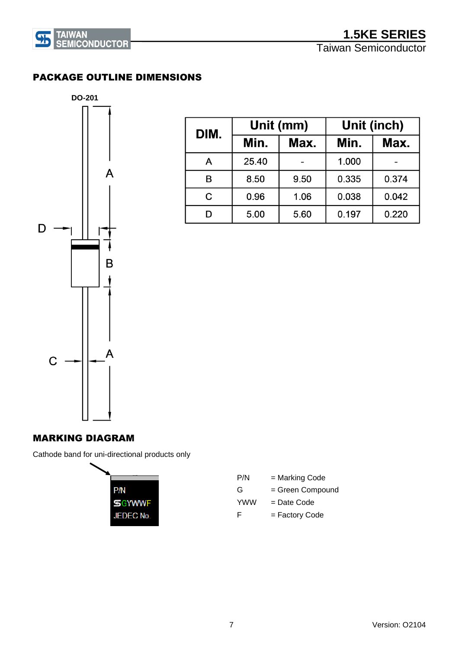

### PACKAGE OUTLINE DIMENSIONS



| DIM. |       | Unit (mm)    | Unit (inch) |       |  |  |
|------|-------|--------------|-------------|-------|--|--|
|      | Min.  | Min.<br>Max. |             | Max.  |  |  |
| A    | 25.40 |              | 1.000       |       |  |  |
| B    | 8.50  | 9.50         | 0.335       | 0.374 |  |  |
| C    | 0.96  | 1.06         | 0.038       | 0.042 |  |  |
|      | 5.00  | 5.60         | 0.197       | 0.220 |  |  |

### MARKING DIAGRAM

Cathode band for uni-directional products only



| P/N        | = Marking Code   |
|------------|------------------|
| G          | = Green Compound |
| <b>YWW</b> | = Date Code      |
| F          | = Factory Code   |